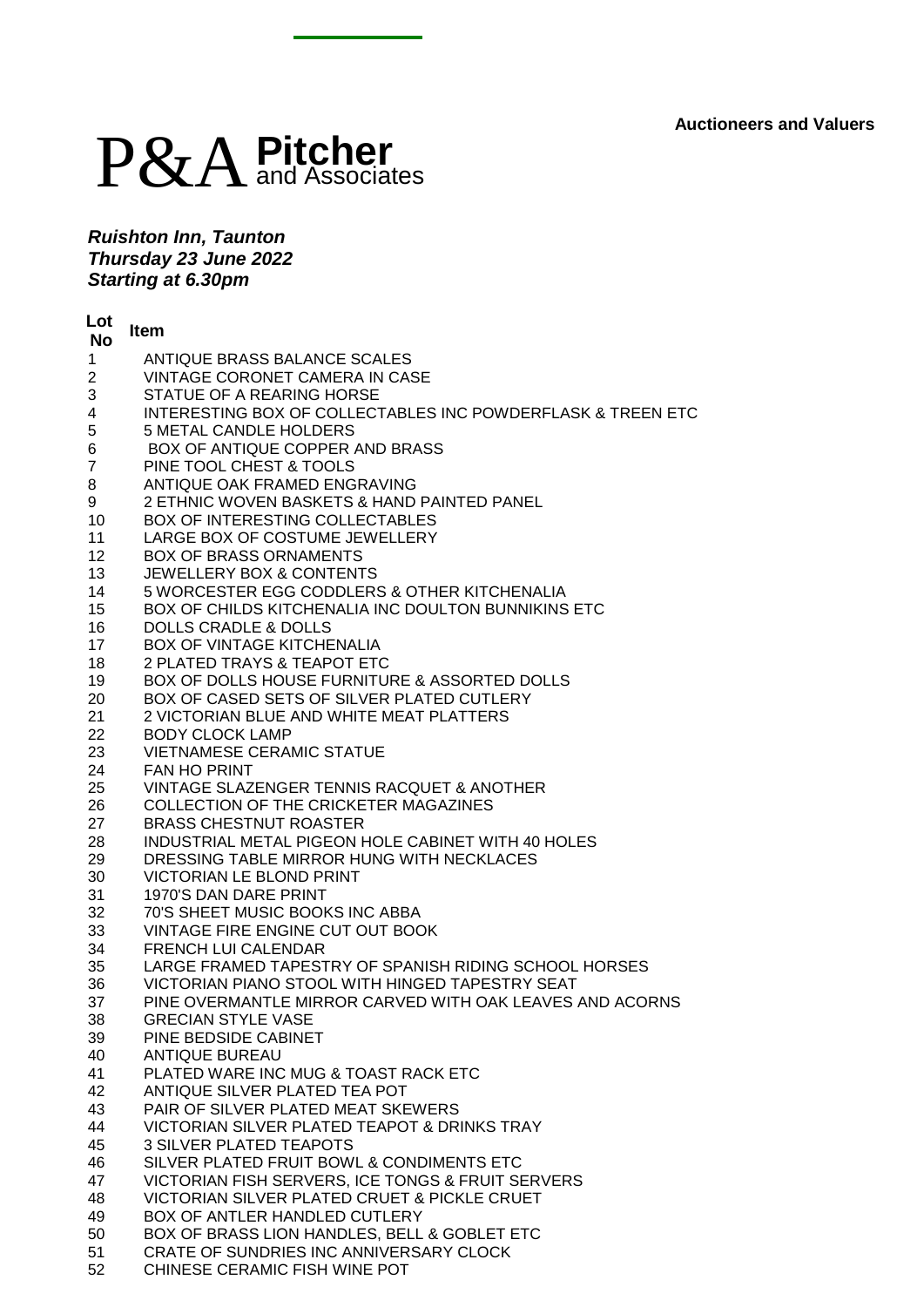## P&A**Pitcher** and Associates

*Ruishton Inn, Taunton Thursday 23 June 2022 Starting at 6.30pm*

| Lot<br><b>No</b> | <b>Item</b>                                                                                       |
|------------------|---------------------------------------------------------------------------------------------------|
| $\mathbf 1$      | ANTIQUE BRASS BALANCE SCALES                                                                      |
| $\overline{2}$   | VINTAGE CORONET CAMERA IN CASE                                                                    |
| 3                | STATUE OF A REARING HORSE                                                                         |
| 4                | <b>INTERESTING BOX OF COLLECTABLES INC POWDERFLASK &amp; TREEN ETC</b>                            |
| 5                | <b>5 METAL CANDLE HOLDERS</b>                                                                     |
| 6                | BOX OF ANTIQUE COPPER AND BRASS                                                                   |
| $\overline{7}$   | PINE TOOL CHEST & TOOLS                                                                           |
| 8                | ANTIQUE OAK FRAMED ENGRAVING                                                                      |
| 9                | 2 ETHNIC WOVEN BASKETS & HAND PAINTED PANEL                                                       |
| 10               | <b>BOX OF INTERESTING COLLECTABLES</b>                                                            |
| 11               | LARGE BOX OF COSTUME JEWELLERY                                                                    |
| 12               | <b>BOX OF BRASS ORNAMENTS</b>                                                                     |
| 13               | <b>JEWELLERY BOX &amp; CONTENTS</b>                                                               |
| 14               | 5 WORCESTER EGG CODDLERS & OTHER KITCHENALIA                                                      |
| 15               | BOX OF CHILDS KITCHENALIA INC DOULTON BUNNIKINS ETC                                               |
| 16               | <b>DOLLS CRADLE &amp; DOLLS</b>                                                                   |
| 17               | <b>BOX OF VINTAGE KITCHENALIA</b><br>2 PLATED TRAYS & TEAPOT ETC                                  |
| 18               |                                                                                                   |
| 19               | BOX OF DOLLS HOUSE FURNITURE & ASSORTED DOLLS<br>BOX OF CASED SETS OF SILVER PLATED CUTLERY       |
| 20<br>21         | 2 VICTORIAN BLUE AND WHITE MEAT PLATTERS                                                          |
| 22               | <b>BODY CLOCK LAMP</b>                                                                            |
| 23               | <b>VIETNAMESE CERAMIC STATUE</b>                                                                  |
| 24               | <b>FAN HO PRINT</b>                                                                               |
| 25               | VINTAGE SLAZENGER TENNIS RACQUET & ANOTHER                                                        |
| 26               | COLLECTION OF THE CRICKETER MAGAZINES                                                             |
| 27               | <b>BRASS CHESTNUT ROASTER</b>                                                                     |
| 28               | INDUSTRIAL METAL PIGEON HOLE CABINET WITH 40 HOLES                                                |
| 29               | DRESSING TABLE MIRROR HUNG WITH NECKLACES                                                         |
| 30               | <b>VICTORIAN LE BLOND PRINT</b>                                                                   |
| 31               | 1970'S DAN DARE PRINT                                                                             |
| 32               | 70'S SHEET MUSIC BOOKS INC ABBA                                                                   |
| 33               | VINTAGE FIRE ENGINE CUT OUT BOOK                                                                  |
| 34               | <b>FRENCH LUI CALENDAR</b>                                                                        |
| 35               | LARGE FRAMED TAPESTRY OF SPANISH RIDING SCHOOL HORSES                                             |
| 36               | VICTORIAN PIANO STOOL WITH HINGED TAPESTRY SEAT                                                   |
| 37               | PINE OVERMANTLE MIRROR CARVED WITH OAK LEAVES AND ACORNS                                          |
| 38               | <b>GRECIAN STYLE VASE</b>                                                                         |
| 39               | PINE BEDSIDE CABINET                                                                              |
| 40               | <b>ANTIQUE BUREAU</b>                                                                             |
| 41               | PLATED WARE INC MUG & TOAST RACK ETC                                                              |
| 42               | ANTIQUE SILVER PLATED TEA POT                                                                     |
| 43               | PAIR OF SILVER PLATED MEAT SKEWERS                                                                |
| 44               | VICTORIAN SILVER PLATED TEAPOT & DRINKS TRAY                                                      |
| 45               | <b>3 SILVER PLATED TEAPOTS</b>                                                                    |
| 46               | SILVER PLATED FRUIT BOWL & CONDIMENTS ETC                                                         |
| 47<br>48         | VICTORIAN FISH SERVERS, ICE TONGS & FRUIT SERVERS<br>VICTORIAN SILVER PLATED CRUET & PICKLE CRUET |
| 49               | BOX OF ANTLER HANDLED CUTLERY                                                                     |
| 50               | BOX OF BRASS LION HANDLES, BELL & GOBLET ETC                                                      |
| 51               | CRATE OF SUNDRIES INC ANNIVERSARY CLOCK                                                           |
| 52               | CHINESE CERAMIC FISH WINE POT                                                                     |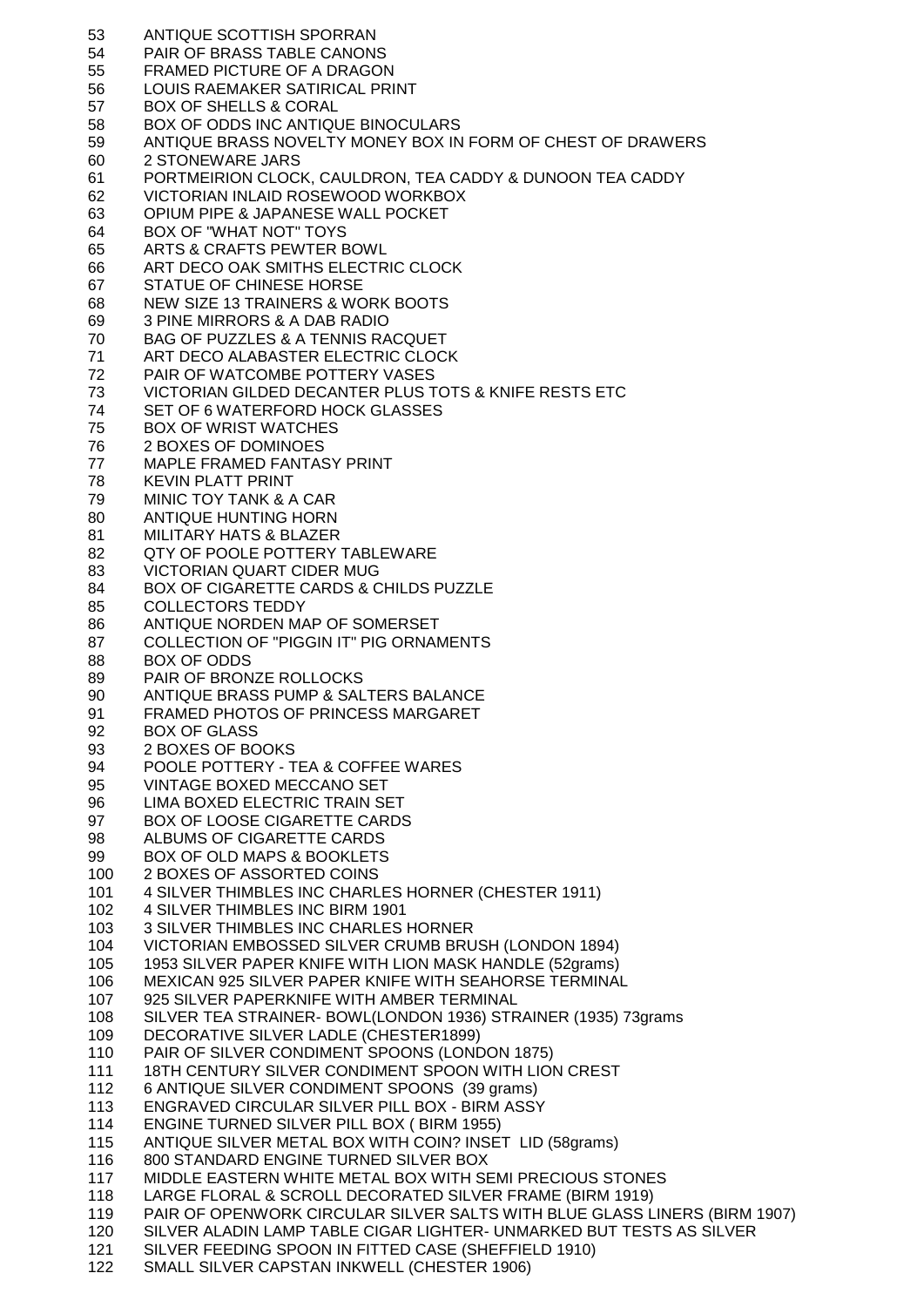ANTIQUE SCOTTISH SPORRAN PAIR OF BRASS TABLE CANONS FRAMED PICTURE OF A DRAGON LOUIS RAEMAKER SATIRICAL PRINT BOX OF SHELLS & CORAL BOX OF ODDS INC ANTIQUE BINOCULARS ANTIQUE BRASS NOVELTY MONEY BOX IN FORM OF CHEST OF DRAWERS 2 STONEWARE JARS PORTMEIRION CLOCK, CAULDRON, TEA CADDY & DUNOON TEA CADDY VICTORIAN INLAID ROSEWOOD WORKBOX OPIUM PIPE & JAPANESE WALL POCKET BOX OF "WHAT NOT" TOYS ARTS & CRAFTS PEWTER BOWL ART DECO OAK SMITHS ELECTRIC CLOCK STATUE OF CHINESE HORSE NEW SIZE 13 TRAINERS & WORK BOOTS 3 PINE MIRRORS & A DAB RADIO BAG OF PUZZLES & A TENNIS RACQUET ART DECO ALABASTER ELECTRIC CLOCK PAIR OF WATCOMBE POTTERY VASES VICTORIAN GILDED DECANTER PLUS TOTS & KNIFE RESTS ETC SET OF 6 WATERFORD HOCK GLASSES BOX OF WRIST WATCHES 2 BOXES OF DOMINOES MAPLE FRAMED FANTASY PRINT KEVIN PLATT PRINT MINIC TOY TANK & A CAR ANTIQUE HUNTING HORN MILITARY HATS & BLAZER QTY OF POOLE POTTERY TABLEWARE VICTORIAN QUART CIDER MUG BOX OF CIGARETTE CARDS & CHILDS PUZZLE COLLECTORS TEDDY ANTIQUE NORDEN MAP OF SOMERSET COLLECTION OF "PIGGIN IT" PIG ORNAMENTS BOX OF ODDS PAIR OF BRONZE ROLLOCKS ANTIQUE BRASS PUMP & SALTERS BALANCE FRAMED PHOTOS OF PRINCESS MARGARET BOX OF GLASS 2 BOXES OF BOOKS POOLE POTTERY - TEA & COFFEE WARES VINTAGE BOXED MECCANO SET LIMA BOXED ELECTRIC TRAIN SET BOX OF LOOSE CIGARETTE CARDS ALBUMS OF CIGARETTE CARDS BOX OF OLD MAPS & BOOKLETS 2 BOXES OF ASSORTED COINS 4 SILVER THIMBLES INC CHARLES HORNER (CHESTER 1911) 4 SILVER THIMBLES INC BIRM 1901 3 SILVER THIMBLES INC CHARLES HORNER VICTORIAN EMBOSSED SILVER CRUMB BRUSH (LONDON 1894) 1953 SILVER PAPER KNIFE WITH LION MASK HANDLE (52grams) MEXICAN 925 SILVER PAPER KNIFE WITH SEAHORSE TERMINAL 925 SILVER PAPERKNIFE WITH AMBER TERMINAL SILVER TEA STRAINER- BOWL(LONDON 1936) STRAINER (1935) 73grams DECORATIVE SILVER LADLE (CHESTER1899) PAIR OF SILVER CONDIMENT SPOONS (LONDON 1875) 18TH CENTURY SILVER CONDIMENT SPOON WITH LION CREST 6 ANTIQUE SILVER CONDIMENT SPOONS (39 grams) ENGRAVED CIRCULAR SILVER PILL BOX - BIRM ASSY ENGINE TURNED SILVER PILL BOX ( BIRM 1955) ANTIQUE SILVER METAL BOX WITH COIN? INSET LID (58grams) 800 STANDARD ENGINE TURNED SILVER BOX MIDDLE EASTERN WHITE METAL BOX WITH SEMI PRECIOUS STONES LARGE FLORAL & SCROLL DECORATED SILVER FRAME (BIRM 1919) PAIR OF OPENWORK CIRCULAR SILVER SALTS WITH BLUE GLASS LINERS (BIRM 1907) SILVER ALADIN LAMP TABLE CIGAR LIGHTER- UNMARKED BUT TESTS AS SILVER SILVER FEEDING SPOON IN FITTED CASE (SHEFFIELD 1910) SMALL SILVER CAPSTAN INKWELL (CHESTER 1906)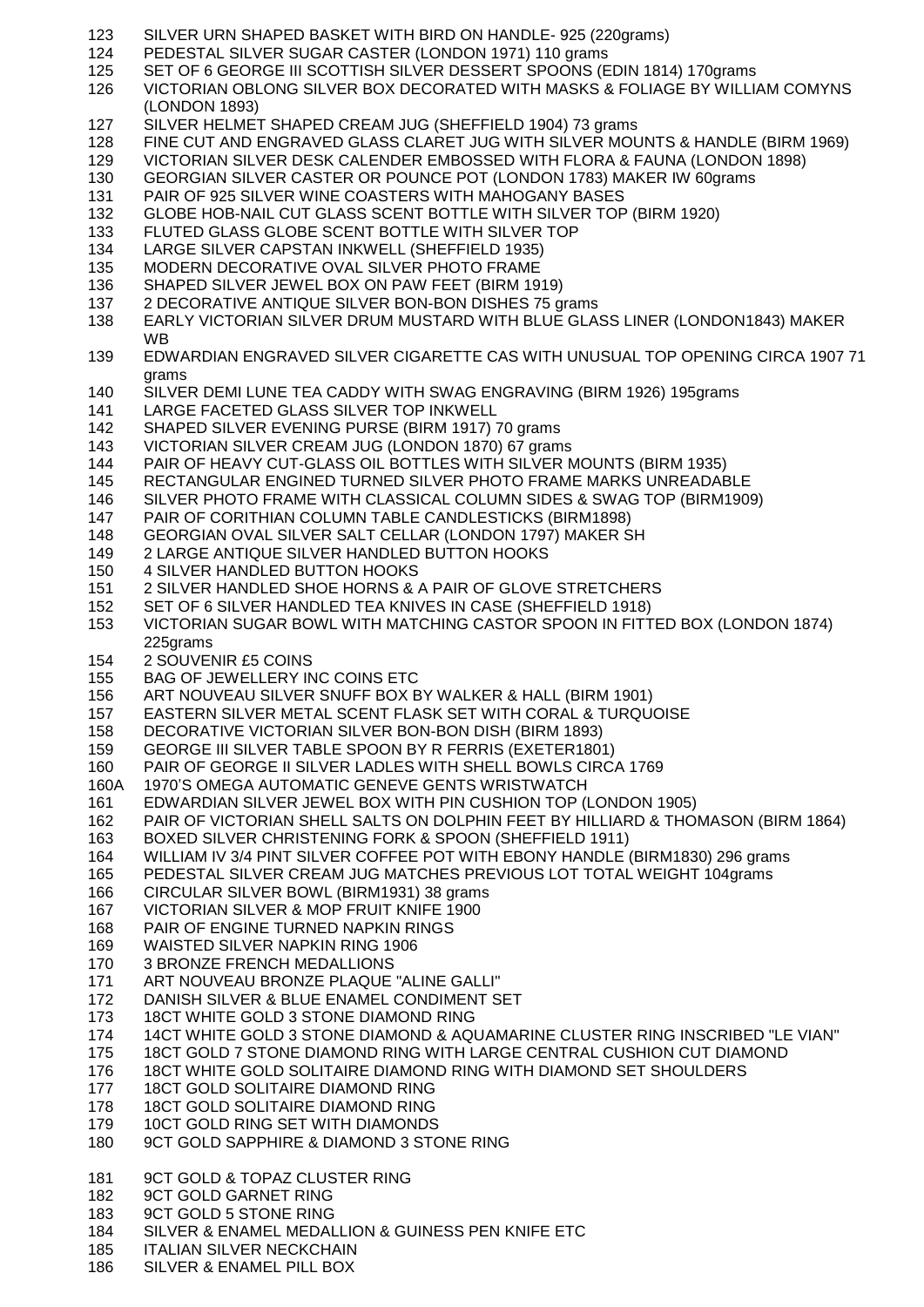- SILVER URN SHAPED BASKET WITH BIRD ON HANDLE- 925 (220grams) PEDESTAL SILVER SUGAR CASTER (LONDON 1971) 110 grams SET OF 6 GEORGE III SCOTTISH SILVER DESSERT SPOONS (EDIN 1814) 170grams VICTORIAN OBLONG SILVER BOX DECORATED WITH MASKS & FOLIAGE BY WILLIAM COMYNS (LONDON 1893) SILVER HELMET SHAPED CREAM JUG (SHEFFIELD 1904) 73 grams FINE CUT AND ENGRAVED GLASS CLARET JUG WITH SILVER MOUNTS & HANDLE (BIRM 1969) VICTORIAN SILVER DESK CALENDER EMBOSSED WITH FLORA & FAUNA (LONDON 1898) GEORGIAN SILVER CASTER OR POUNCE POT (LONDON 1783) MAKER IW 60grams PAIR OF 925 SILVER WINE COASTERS WITH MAHOGANY BASES GLOBE HOB-NAIL CUT GLASS SCENT BOTTLE WITH SILVER TOP (BIRM 1920) FLUTED GLASS GLOBE SCENT BOTTLE WITH SILVER TOP LARGE SILVER CAPSTAN INKWELL (SHEFFIELD 1935) MODERN DECORATIVE OVAL SILVER PHOTO FRAME SHAPED SILVER JEWEL BOX ON PAW FEET (BIRM 1919) 2 DECORATIVE ANTIQUE SILVER BON-BON DISHES 75 grams EARLY VICTORIAN SILVER DRUM MUSTARD WITH BLUE GLASS LINER (LONDON1843) MAKER WB EDWARDIAN ENGRAVED SILVER CIGARETTE CAS WITH UNUSUAL TOP OPENING CIRCA 1907 71 grams SILVER DEMI LUNE TEA CADDY WITH SWAG ENGRAVING (BIRM 1926) 195grams LARGE FACETED GLASS SILVER TOP INKWELL SHAPED SILVER EVENING PURSE (BIRM 1917) 70 grams VICTORIAN SILVER CREAM JUG (LONDON 1870) 67 grams PAIR OF HEAVY CUT-GLASS OIL BOTTLES WITH SILVER MOUNTS (BIRM 1935) RECTANGULAR ENGINED TURNED SILVER PHOTO FRAME MARKS UNREADABLE SILVER PHOTO FRAME WITH CLASSICAL COLUMN SIDES & SWAG TOP (BIRM1909) PAIR OF CORITHIAN COLUMN TABLE CANDLESTICKS (BIRM1898) GEORGIAN OVAL SILVER SALT CELLAR (LONDON 1797) MAKER SH 2 LARGE ANTIQUE SILVER HANDLED BUTTON HOOKS 4 SILVER HANDLED BUTTON HOOKS 2 SILVER HANDLED SHOE HORNS & A PAIR OF GLOVE STRETCHERS SET OF 6 SILVER HANDLED TEA KNIVES IN CASE (SHEFFIELD 1918) VICTORIAN SUGAR BOWL WITH MATCHING CASTOR SPOON IN FITTED BOX (LONDON 1874) 225grams 2 SOUVENIR £5 COINS BAG OF JEWELLERY INC COINS ETC ART NOUVEAU SILVER SNUFF BOX BY WALKER & HALL (BIRM 1901) EASTERN SILVER METAL SCENT FLASK SET WITH CORAL & TURQUOISE DECORATIVE VICTORIAN SILVER BON-BON DISH (BIRM 1893) GEORGE III SILVER TABLE SPOON BY R FERRIS (EXETER1801) PAIR OF GEORGE II SILVER LADLES WITH SHELL BOWLS CIRCA 1769 160A 1970'S OMEGA AUTOMATIC GENEVE GENTS WRISTWATCH EDWARDIAN SILVER JEWEL BOX WITH PIN CUSHION TOP (LONDON 1905) PAIR OF VICTORIAN SHELL SALTS ON DOLPHIN FEET BY HILLIARD & THOMASON (BIRM 1864) BOXED SILVER CHRISTENING FORK & SPOON (SHEFFIELD 1911) WILLIAM IV 3/4 PINT SILVER COFFEE POT WITH EBONY HANDLE (BIRM1830) 296 grams PEDESTAL SILVER CREAM JUG MATCHES PREVIOUS LOT TOTAL WEIGHT 104grams CIRCULAR SILVER BOWL (BIRM1931) 38 grams VICTORIAN SILVER & MOP FRUIT KNIFE 1900 PAIR OF ENGINE TURNED NAPKIN RINGS WAISTED SILVER NAPKIN RING 1906 3 BRONZE FRENCH MEDALLIONS ART NOUVEAU BRONZE PLAQUE "ALINE GALLI" DANISH SILVER & BLUE ENAMEL CONDIMENT SET 18CT WHITE GOLD 3 STONE DIAMOND RING 14CT WHITE GOLD 3 STONE DIAMOND & AQUAMARINE CLUSTER RING INSCRIBED "LE VIAN" 18CT GOLD 7 STONE DIAMOND RING WITH LARGE CENTRAL CUSHION CUT DIAMOND 18CT WHITE GOLD SOLITAIRE DIAMOND RING WITH DIAMOND SET SHOULDERS 18CT GOLD SOLITAIRE DIAMOND RING 178 18CT GOLD SOLITAIRE DIAMOND RING 10CT GOLD RING SET WITH DIAMONDS 9CT GOLD SAPPHIRE & DIAMOND 3 STONE RING 9CT GOLD & TOPAZ CLUSTER RING 9CT GOLD GARNET RING 9CT GOLD 5 STONE RING SILVER & ENAMEL MEDALLION & GUINESS PEN KNIFE ETC ITALIAN SILVER NECKCHAIN
- SILVER & ENAMEL PILL BOX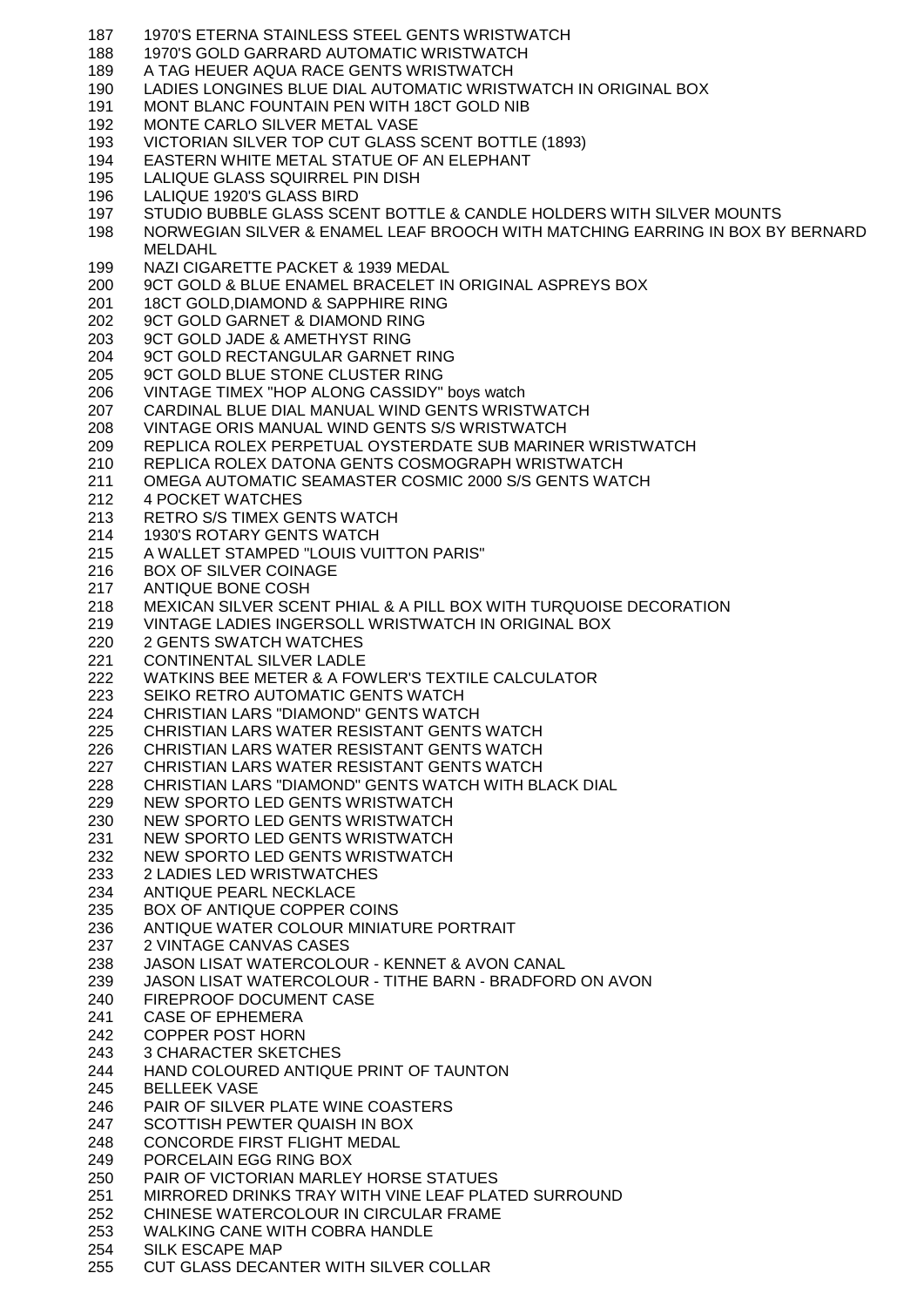- 1970'S ETERNA STAINLESS STEEL GENTS WRISTWATCH 1970'S GOLD GARRARD AUTOMATIC WRISTWATCH A TAG HEUER AQUA RACE GENTS WRISTWATCH LADIES LONGINES BLUE DIAL AUTOMATIC WRISTWATCH IN ORIGINAL BOX MONT BLANC FOUNTAIN PEN WITH 18CT GOLD NIB MONTE CARLO SILVER METAL VASE VICTORIAN SILVER TOP CUT GLASS SCENT BOTTLE (1893) EASTERN WHITE METAL STATUE OF AN ELEPHANT LALIQUE GLASS SQUIRREL PIN DISH LALIQUE 1920'S GLASS BIRD STUDIO BUBBLE GLASS SCENT BOTTLE & CANDLE HOLDERS WITH SILVER MOUNTS NORWEGIAN SILVER & ENAMEL LEAF BROOCH WITH MATCHING EARRING IN BOX BY BERNARD MELDAHL NAZI CIGARETTE PACKET & 1939 MEDAL 9CT GOLD & BLUE ENAMEL BRACELET IN ORIGINAL ASPREYS BOX 18CT GOLD,DIAMOND & SAPPHIRE RING 9CT GOLD GARNET & DIAMOND RING 9CT GOLD JADE & AMETHYST RING 9CT GOLD RECTANGULAR GARNET RING 9CT GOLD BLUE STONE CLUSTER RING VINTAGE TIMEX "HOP ALONG CASSIDY" boys watch CARDINAL BLUE DIAL MANUAL WIND GENTS WRISTWATCH VINTAGE ORIS MANUAL WIND GENTS S/S WRISTWATCH REPLICA ROLEX PERPETUAL OYSTERDATE SUB MARINER WRISTWATCH REPLICA ROLEX DATONA GENTS COSMOGRAPH WRISTWATCH OMEGA AUTOMATIC SEAMASTER COSMIC 2000 S/S GENTS WATCH 4 POCKET WATCHES RETRO S/S TIMEX GENTS WATCH 1930'S ROTARY GENTS WATCH A WALLET STAMPED "LOUIS VUITTON PARIS" BOX OF SILVER COINAGE ANTIQUE BONE COSH MEXICAN SILVER SCENT PHIAL & A PILL BOX WITH TURQUOISE DECORATION VINTAGE LADIES INGERSOLL WRISTWATCH IN ORIGINAL BOX 2 GENTS SWATCH WATCHES CONTINENTAL SILVER LADLE WATKINS BEE METER & A FOWLER'S TEXTILE CALCULATOR SEIKO RETRO AUTOMATIC GENTS WATCH CHRISTIAN LARS "DIAMOND" GENTS WATCH CHRISTIAN LARS WATER RESISTANT GENTS WATCH CHRISTIAN LARS WATER RESISTANT GENTS WATCH CHRISTIAN LARS WATER RESISTANT GENTS WATCH CHRISTIAN LARS "DIAMOND" GENTS WATCH WITH BLACK DIAL NEW SPORTO LED GENTS WRISTWATCH NEW SPORTO LED GENTS WRISTWATCH NEW SPORTO LED GENTS WRISTWATCH NEW SPORTO LED GENTS WRISTWATCH 2 LADIES LED WRISTWATCHES ANTIQUE PEARL NECKLACE BOX OF ANTIQUE COPPER COINS ANTIQUE WATER COLOUR MINIATURE PORTRAIT 2 VINTAGE CANVAS CASES JASON LISAT WATERCOLOUR - KENNET & AVON CANAL JASON LISAT WATERCOLOUR - TITHE BARN - BRADFORD ON AVON FIREPROOF DOCUMENT CASE CASE OF EPHEMERA COPPER POST HORN 3 CHARACTER SKETCHES HAND COLOURED ANTIQUE PRINT OF TAUNTON BELLEEK VASE PAIR OF SILVER PLATE WINE COASTERS SCOTTISH PEWTER QUAISH IN BOX CONCORDE FIRST FLIGHT MEDAL PORCELAIN EGG RING BOX PAIR OF VICTORIAN MARLEY HORSE STATUES MIRRORED DRINKS TRAY WITH VINE LEAF PLATED SURROUND CHINESE WATERCOLOUR IN CIRCULAR FRAME WALKING CANE WITH COBRA HANDLE SILK ESCAPE MAP
- CUT GLASS DECANTER WITH SILVER COLLAR